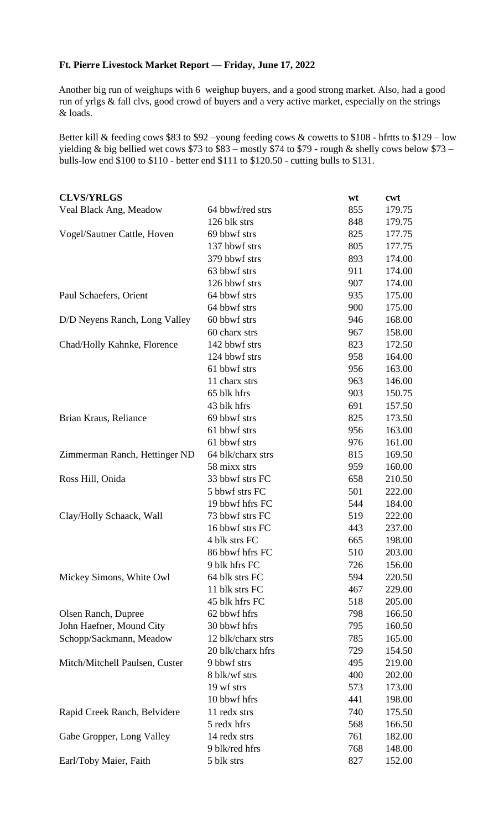## **Ft. Pierre Livestock Market Report –– Friday, June 17, 2022**

Another big run of weighups with 6 weighup buyers, and a good strong market. Also, had a good run of yrlgs & fall clvs, good crowd of buyers and a very active market, especially on the strings & loads.

Better kill & feeding cows \$83 to \$92 –young feeding cows & cowetts to \$108 - hfrtts to \$129 – low yielding & big bellied wet cows \$73 to \$83 – mostly \$74 to \$79 - rough & shelly cows below \$73 – bulls-low end \$100 to \$110 - better end \$111 to \$120.50 - cutting bulls to \$131.

| <b>CLVS/YRLGS</b>              |                   | wt  | cwt    |
|--------------------------------|-------------------|-----|--------|
| Veal Black Ang, Meadow         | 64 bbwf/red strs  | 855 | 179.75 |
|                                | 126 blk strs      | 848 | 179.75 |
| Vogel/Sautner Cattle, Hoven    | 69 bbwf strs      | 825 | 177.75 |
|                                | 137 bbwf strs     | 805 | 177.75 |
|                                | 379 bbwf strs     | 893 | 174.00 |
|                                | 63 bbwf strs      | 911 | 174.00 |
|                                | 126 bbwf strs     | 907 | 174.00 |
| Paul Schaefers, Orient         | 64 bbwf strs      | 935 | 175.00 |
|                                | 64 bbwf strs      | 900 | 175.00 |
| D/D Neyens Ranch, Long Valley  | 60 bbwf strs      | 946 | 168.00 |
|                                | 60 charx strs     | 967 | 158.00 |
| Chad/Holly Kahnke, Florence    | 142 bbwf strs     | 823 | 172.50 |
|                                | 124 bbwf strs     | 958 | 164.00 |
|                                | 61 bbwf strs      | 956 | 163.00 |
|                                | 11 charx strs     | 963 | 146.00 |
|                                | 65 blk hfrs       | 903 | 150.75 |
|                                | 43 blk hfrs       | 691 | 157.50 |
| Brian Kraus, Reliance          | 69 bbwf strs      | 825 | 173.50 |
|                                | 61 bbwf strs      | 956 | 163.00 |
|                                | 61 bbwf strs      | 976 | 161.00 |
| Zimmerman Ranch, Hettinger ND  | 64 blk/charx strs | 815 | 169.50 |
|                                | 58 mixx strs      | 959 | 160.00 |
| Ross Hill, Onida               | 33 bbwf strs FC   | 658 | 210.50 |
|                                | 5 bbwf strs FC    | 501 | 222.00 |
|                                | 19 bbwf hfrs FC   | 544 | 184.00 |
| Clay/Holly Schaack, Wall       | 73 bbwf strs FC   | 519 | 222.00 |
|                                | 16 bbwf strs FC   | 443 | 237.00 |
|                                | 4 blk strs FC     | 665 | 198.00 |
|                                | 86 bbwf hfrs FC   | 510 | 203.00 |
|                                | 9 blk hfrs FC     | 726 | 156.00 |
| Mickey Simons, White Owl       | 64 blk strs FC    | 594 | 220.50 |
|                                | 11 blk strs FC    | 467 | 229.00 |
|                                | 45 blk hfrs FC    | 518 | 205.00 |
| Olsen Ranch, Dupree            | 62 bbwf hfrs      | 798 | 166.50 |
| John Haefner, Mound City       | 30 bbwf hfrs      | 795 | 160.50 |
| Schopp/Sackmann, Meadow        | 12 blk/charx strs | 785 | 165.00 |
|                                | 20 blk/charx hfrs | 729 | 154.50 |
| Mitch/Mitchell Paulsen, Custer | 9 bbwf strs       | 495 | 219.00 |
|                                | 8 blk/wf strs     | 400 | 202.00 |
|                                | 19 wf strs        | 573 | 173.00 |
|                                | 10 bbwf hfrs      | 441 | 198.00 |
| Rapid Creek Ranch, Belvidere   | 11 redx strs      | 740 | 175.50 |
|                                | 5 redx hfrs       | 568 | 166.50 |
| Gabe Gropper, Long Valley      | 14 redx strs      | 761 | 182.00 |
|                                | 9 blk/red hfrs    | 768 | 148.00 |
| Earl/Toby Maier, Faith         | 5 blk strs        | 827 | 152.00 |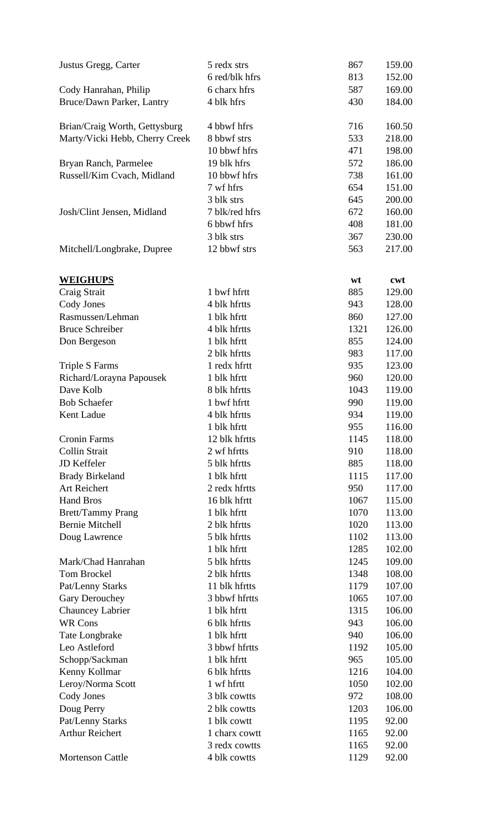| Justus Gregg, Carter                               | 5 redx strs<br>6 red/blk hfrs | 867<br>813 | 159.00<br>152.00 |
|----------------------------------------------------|-------------------------------|------------|------------------|
|                                                    |                               |            |                  |
| Cody Hanrahan, Philip                              | 6 charx hfrs                  | 587        | 169.00           |
| Bruce/Dawn Parker, Lantry                          | 4 blk hfrs                    | 430        | 184.00           |
| Brian/Craig Worth, Gettysburg                      | 4 bbwf hfrs                   | 716        | 160.50           |
| Marty/Vicki Hebb, Cherry Creek                     | 8 bbwf strs                   | 533        | 218.00           |
|                                                    | 10 bbwf hfrs                  | 471        | 198.00           |
| Bryan Ranch, Parmelee                              | 19 blk hfrs                   | 572        | 186.00           |
| Russell/Kim Cvach, Midland                         | 10 bbwf hfrs                  | 738        | 161.00           |
|                                                    | 7 wf hfrs                     | 654        | 151.00           |
|                                                    | 3 blk strs                    | 645        | 200.00           |
| Josh/Clint Jensen, Midland                         | 7 blk/red hfrs                | 672        | 160.00           |
|                                                    | 6 bbwf hfrs                   | 408        | 181.00           |
|                                                    | 3 blk strs                    |            |                  |
|                                                    |                               | 367        | 230.00           |
| Mitchell/Longbrake, Dupree                         | 12 bbwf strs                  | 563        | 217.00           |
| <b>WEIGHUPS</b>                                    |                               | wt         | cwt              |
| Craig Strait                                       | 1 bwf hfrtt                   | 885        | 129.00           |
| Cody Jones                                         | 4 blk hfrtts                  | 943        | 128.00           |
| Rasmussen/Lehman                                   | 1 blk hfrtt                   | 860        | 127.00           |
| <b>Bruce Schreiber</b>                             | 4 blk hfrtts                  | 1321       | 126.00           |
| Don Bergeson                                       | 1 blk hfrtt                   | 855        | 124.00           |
|                                                    | 2 blk hfrtts                  | 983        | 117.00           |
| <b>Triple S Farms</b>                              | 1 redx hfrtt                  | 935        | 123.00           |
| Richard/Lorayna Papousek                           | 1 blk hfrtt                   | 960        | 120.00           |
| Dave Kolb                                          | 8 blk hfrtts                  | 1043       | 119.00           |
| <b>Bob Schaefer</b>                                | 1 bwf hfrtt                   | 990        | 119.00           |
| Kent Ladue                                         | 4 blk hfrtts                  | 934        | 119.00           |
|                                                    | 1 blk hfrtt                   | 955        | 116.00           |
| <b>Cronin Farms</b>                                | 12 blk hfrtts                 | 1145       | 118.00           |
| <b>Collin Strait</b>                               | 2 wf hfrtts                   | 910        | 118.00           |
| JD Keffeler                                        | 5 blk hfrtts                  | 885        | 118.00           |
|                                                    | 1 blk hfrtt                   | 1115       | 117.00           |
| <b>Brady Birkeland</b><br>Art Reichert             | 2 redx hfrtts                 | 950        | 117.00           |
| <b>Hand Bros</b>                                   | 16 blk hfrtt                  | 1067       | 115.00           |
|                                                    | 1 blk hfrtt                   |            | 113.00           |
| <b>Brett/Tammy Prang</b><br><b>Bernie Mitchell</b> |                               | 1070       |                  |
|                                                    | 2 blk hfrtts                  | 1020       | 113.00           |
| Doug Lawrence                                      | 5 blk hfrtts                  | 1102       | 113.00           |
|                                                    | 1 blk hfrtt                   | 1285       | 102.00           |
| Mark/Chad Hanrahan                                 | 5 blk hfrtts                  | 1245       | 109.00           |
| <b>Tom Brockel</b>                                 | 2 blk hfrtts                  | 1348       | 108.00           |
| Pat/Lenny Starks                                   | 11 blk hfrtts                 | 1179       | 107.00           |
| Gary Derouchey                                     | 3 bbwf hfrtts                 | 1065       | 107.00           |
| Chauncey Labrier                                   | 1 blk hfrtt                   | 1315       | 106.00           |
| <b>WR Cons</b>                                     | 6 blk hfrtts                  | 943        | 106.00           |
| Tate Longbrake                                     | 1 blk hfrtt                   | 940        | 106.00           |
| Leo Astleford                                      | 3 bbwf hfrtts                 | 1192       | 105.00           |
| Schopp/Sackman                                     | 1 blk hfrtt                   | 965        | 105.00           |
| Kenny Kollmar                                      | 6 blk hfrtts                  | 1216       | 104.00           |
| Leroy/Norma Scott                                  | 1 wf hfrtt                    | 1050       | 102.00           |
| Cody Jones                                         | 3 blk cowtts                  | 972        | 108.00           |
| Doug Perry                                         | 2 blk cowtts                  | 1203       | 106.00           |
| Pat/Lenny Starks                                   | 1 blk cowtt                   | 1195       | 92.00            |
| <b>Arthur Reichert</b>                             | 1 charx cowtt                 | 1165       | 92.00            |
|                                                    | 3 redx cowtts                 | 1165       | 92.00            |
| <b>Mortenson Cattle</b>                            | 4 blk cowtts                  | 1129       | 92.00            |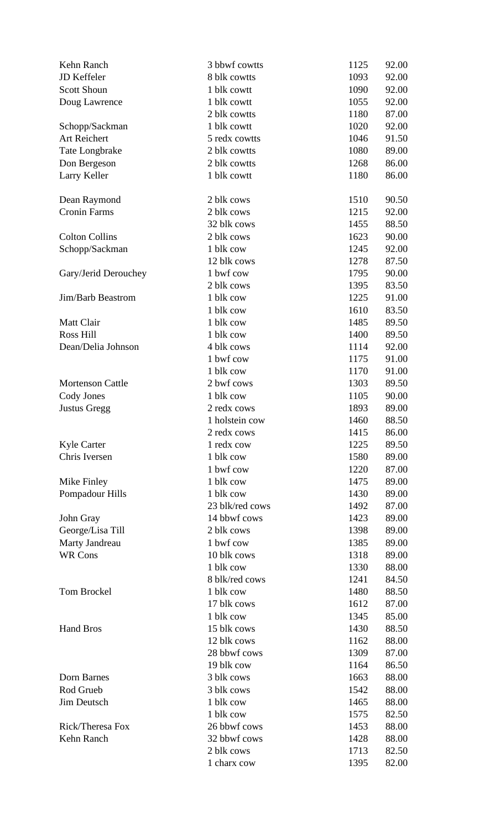| Kehn Ranch                       | 3 bbwf cowtts              | 1125         | 92.00 |
|----------------------------------|----------------------------|--------------|-------|
| JD Keffeler                      | 8 blk cowtts               | 1093         | 92.00 |
| <b>Scott Shoun</b>               | 1 blk cowtt                | 1090         | 92.00 |
| Doug Lawrence                    | 1 blk cowtt                | 1055         | 92.00 |
|                                  | 2 blk cowtts               | 1180         | 87.00 |
| Schopp/Sackman                   | 1 blk cowtt                | 1020         | 92.00 |
| Art Reichert                     | 5 redx cowtts              | 1046         | 91.50 |
| Tate Longbrake                   | 2 blk cowtts               | 1080         | 89.00 |
| Don Bergeson                     | 2 blk cowtts               | 1268         | 86.00 |
| Larry Keller                     | 1 blk cowtt                | 1180         | 86.00 |
|                                  |                            |              |       |
| Dean Raymond                     | 2 blk cows                 | 1510         | 90.50 |
| <b>Cronin Farms</b>              | 2 blk cows                 | 1215         | 92.00 |
|                                  | 32 blk cows                | 1455         | 88.50 |
| <b>Colton Collins</b>            | 2 blk cows                 | 1623         | 90.00 |
| Schopp/Sackman                   | 1 blk cow                  | 1245         | 92.00 |
|                                  | 12 blk cows                | 1278         | 87.50 |
| Gary/Jerid Derouchey             | 1 bwf cow                  | 1795         | 90.00 |
|                                  | 2 blk cows                 | 1395         | 83.50 |
| Jim/Barb Beastrom                | 1 blk cow                  | 1225         | 91.00 |
|                                  | 1 blk cow                  | 1610         | 83.50 |
| Matt Clair                       | 1 blk cow                  | 1485         | 89.50 |
| Ross Hill                        | 1 blk cow                  | 1400         | 89.50 |
| Dean/Delia Johnson               | 4 blk cows                 | 1114         | 92.00 |
|                                  | 1 bwf cow                  | 1175         | 91.00 |
|                                  | 1 blk cow                  | 1170         | 91.00 |
| <b>Mortenson Cattle</b>          | 2 bwf cows                 | 1303         | 89.50 |
| Cody Jones                       | 1 blk cow                  | 1105         | 90.00 |
| <b>Justus Gregg</b>              | 2 redx cows                | 1893         | 89.00 |
|                                  | 1 holstein cow             | 1460         | 88.50 |
|                                  | 2 redx cows                | 1415         | 86.00 |
| <b>Kyle Carter</b>               | 1 redx cow                 | 1225         | 89.50 |
| Chris Iversen                    | 1 blk cow                  | 1580         | 89.00 |
|                                  | 1 bwf cow                  | 1220         | 87.00 |
| Mike Finley                      | 1 blk cow                  | 1475         | 89.00 |
| Pompadour Hills                  | 1 blk cow                  | 1430         | 89.00 |
|                                  | 23 blk/red cows            | 1492         | 87.00 |
| John Gray                        | 14 bbwf cows               | 1423         | 89.00 |
| George/Lisa Till                 | 2 blk cows                 | 1398         | 89.00 |
|                                  | 1 bwf cow                  | 1385         | 89.00 |
| Marty Jandreau<br><b>WR Cons</b> | 10 blk cows                | 1318         | 89.00 |
|                                  | 1 blk cow                  | 1330         | 88.00 |
|                                  | 8 blk/red cows             | 1241         | 84.50 |
| <b>Tom Brockel</b>               | 1 blk cow                  |              |       |
|                                  | 17 blk cows                | 1480<br>1612 | 88.50 |
|                                  |                            |              | 87.00 |
| <b>Hand Bros</b>                 | 1 blk cow                  | 1345         | 85.00 |
|                                  | 15 blk cows<br>12 blk cows | 1430         | 88.50 |
|                                  |                            | 1162         | 88.00 |
|                                  | 28 bbwf cows               | 1309         | 87.00 |
|                                  | 19 blk cow                 | 1164         | 86.50 |
| Dorn Barnes                      | 3 blk cows                 | 1663         | 88.00 |
| Rod Grueb                        | 3 blk cows                 | 1542         | 88.00 |
| Jim Deutsch                      | 1 blk cow                  | 1465         | 88.00 |
|                                  | 1 blk cow                  | 1575         | 82.50 |
| Rick/Theresa Fox                 | 26 bbwf cows               | 1453         | 88.00 |
| Kehn Ranch                       | 32 bbwf cows               | 1428         | 88.00 |
|                                  | 2 blk cows                 | 1713         | 82.50 |
|                                  | 1 charx cow                | 1395         | 82.00 |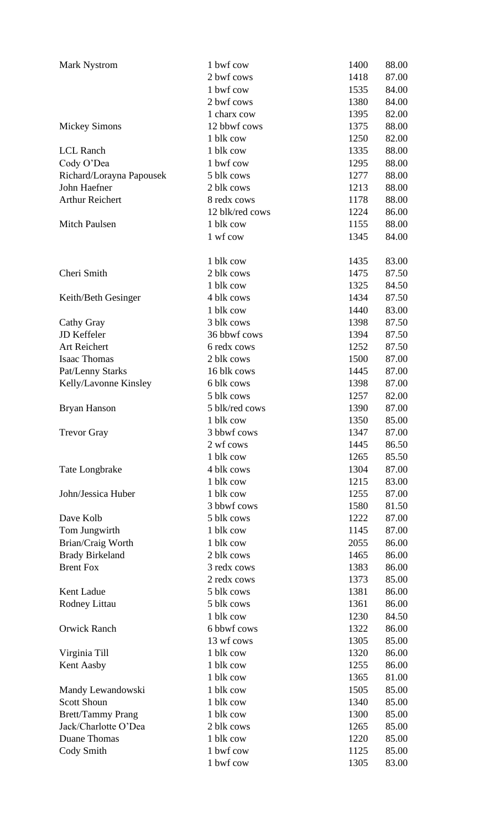| <b>Mark Nystrom</b>      | 1 bwf cow       | 1400 | 88.00 |
|--------------------------|-----------------|------|-------|
|                          | 2 bwf cows      | 1418 | 87.00 |
|                          | 1 bwf cow       | 1535 | 84.00 |
|                          | 2 bwf cows      | 1380 | 84.00 |
|                          | 1 charx cow     | 1395 | 82.00 |
| <b>Mickey Simons</b>     | 12 bbwf cows    | 1375 | 88.00 |
|                          | 1 blk cow       | 1250 | 82.00 |
| <b>LCL Ranch</b>         | 1 blk cow       | 1335 | 88.00 |
| Cody O'Dea               | 1 bwf cow       | 1295 | 88.00 |
| Richard/Lorayna Papousek | 5 blk cows      | 1277 | 88.00 |
| John Haefner             | 2 blk cows      | 1213 | 88.00 |
| <b>Arthur Reichert</b>   | 8 redx cows     | 1178 | 88.00 |
|                          | 12 blk/red cows | 1224 | 86.00 |
| <b>Mitch Paulsen</b>     | 1 blk cow       | 1155 | 88.00 |
|                          | 1 wf cow        | 1345 | 84.00 |
|                          |                 |      |       |
|                          | 1 blk cow       | 1435 | 83.00 |
| Cheri Smith              | 2 blk cows      | 1475 | 87.50 |
|                          | 1 blk cow       | 1325 | 84.50 |
|                          | 4 blk cows      | 1434 |       |
| Keith/Beth Gesinger      |                 |      | 87.50 |
|                          | 1 blk cow       | 1440 | 83.00 |
| Cathy Gray               | 3 blk cows      | 1398 | 87.50 |
| JD Keffeler              | 36 bbwf cows    | 1394 | 87.50 |
| Art Reichert             | 6 redx cows     | 1252 | 87.50 |
| <b>Isaac Thomas</b>      | 2 blk cows      | 1500 | 87.00 |
| Pat/Lenny Starks         | 16 blk cows     | 1445 | 87.00 |
| Kelly/Lavonne Kinsley    | 6 blk cows      | 1398 | 87.00 |
|                          | 5 blk cows      | 1257 | 82.00 |
| Bryan Hanson             | 5 blk/red cows  | 1390 | 87.00 |
|                          | 1 blk cow       | 1350 | 85.00 |
| <b>Trevor Gray</b>       | 3 bbwf cows     | 1347 | 87.00 |
|                          | 2 wf cows       | 1445 | 86.50 |
|                          | 1 blk cow       | 1265 | 85.50 |
| Tate Longbrake           | 4 blk cows      | 1304 | 87.00 |
|                          | 1 blk cow       | 1215 | 83.00 |
| John/Jessica Huber       | 1 blk cow       | 1255 | 87.00 |
|                          | 3 bbwf cows     | 1580 | 81.50 |
| Dave Kolb                | 5 blk cows      | 1222 | 87.00 |
| Tom Jungwirth            | 1 blk cow       | 1145 | 87.00 |
| Brian/Craig Worth        | 1 blk cow       | 2055 | 86.00 |
| <b>Brady Birkeland</b>   | 2 blk cows      | 1465 | 86.00 |
| <b>Brent Fox</b>         | 3 redx cows     | 1383 | 86.00 |
|                          | 2 redx cows     | 1373 | 85.00 |
| Kent Ladue               | 5 blk cows      | 1381 | 86.00 |
| Rodney Littau            | 5 blk cows      | 1361 | 86.00 |
|                          | 1 blk cow       | 1230 | 84.50 |
| <b>Orwick Ranch</b>      | 6 bbwf cows     | 1322 | 86.00 |
|                          | 13 wf cows      |      |       |
|                          |                 | 1305 | 85.00 |
| Virginia Till            | 1 blk cow       | 1320 | 86.00 |
| Kent Aasby               | 1 blk cow       | 1255 | 86.00 |
|                          | 1 blk cow       | 1365 | 81.00 |
| Mandy Lewandowski        | 1 blk cow       | 1505 | 85.00 |
| <b>Scott Shoun</b>       | 1 blk cow       | 1340 | 85.00 |
| <b>Brett/Tammy Prang</b> | 1 blk cow       | 1300 | 85.00 |
| Jack/Charlotte O'Dea     | 2 blk cows      | 1265 | 85.00 |
| Duane Thomas             | 1 blk cow       | 1220 | 85.00 |
| Cody Smith               | 1 bwf cow       | 1125 | 85.00 |
|                          | 1 bwf cow       | 1305 | 83.00 |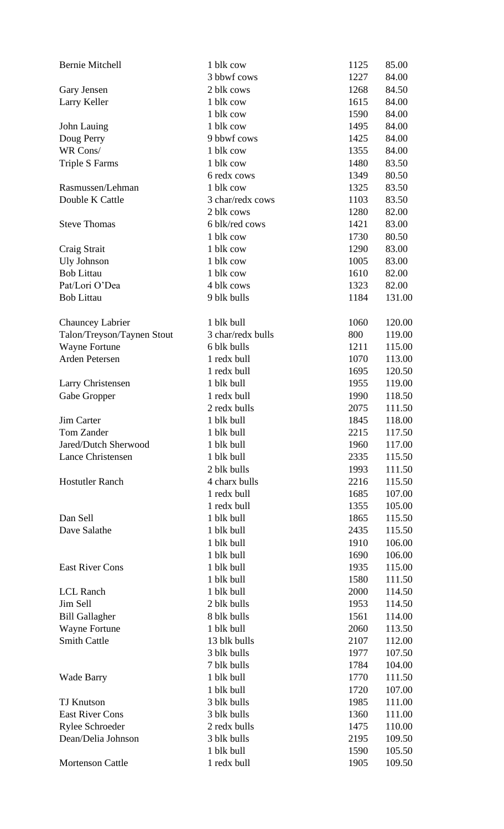| <b>Bernie Mitchell</b>     | 1 blk cow         | 1125 | 85.00  |
|----------------------------|-------------------|------|--------|
|                            | 3 bbwf cows       | 1227 | 84.00  |
| Gary Jensen                | 2 blk cows        | 1268 | 84.50  |
| Larry Keller               | 1 blk cow         | 1615 | 84.00  |
|                            | 1 blk cow         | 1590 | 84.00  |
| John Lauing                | 1 blk cow         | 1495 | 84.00  |
| Doug Perry                 | 9 bbwf cows       | 1425 | 84.00  |
| WR Cons/                   | 1 blk cow         | 1355 | 84.00  |
| <b>Triple S Farms</b>      | 1 blk cow         | 1480 | 83.50  |
|                            | 6 redx cows       | 1349 | 80.50  |
| Rasmussen/Lehman           | 1 blk cow         | 1325 | 83.50  |
| Double K Cattle            | 3 char/redx cows  | 1103 | 83.50  |
|                            | 2 blk cows        | 1280 | 82.00  |
| <b>Steve Thomas</b>        | 6 blk/red cows    | 1421 | 83.00  |
|                            | 1 blk cow         | 1730 | 80.50  |
| Craig Strait               | 1 blk cow         | 1290 | 83.00  |
| <b>Uly Johnson</b>         | 1 blk cow         | 1005 | 83.00  |
| <b>Bob Littau</b>          | 1 blk cow         | 1610 | 82.00  |
| Pat/Lori O'Dea             | 4 blk cows        | 1323 | 82.00  |
| <b>Bob Littau</b>          | 9 blk bulls       | 1184 | 131.00 |
|                            |                   |      |        |
| <b>Chauncey Labrier</b>    | 1 blk bull        | 1060 | 120.00 |
| Talon/Treyson/Taynen Stout | 3 char/redx bulls | 800  | 119.00 |
| Wayne Fortune              | 6 blk bulls       | 1211 | 115.00 |
| Arden Petersen             | 1 redx bull       | 1070 | 113.00 |
|                            | 1 redx bull       | 1695 | 120.50 |
| Larry Christensen          | 1 blk bull        | 1955 | 119.00 |
| Gabe Gropper               | 1 redx bull       | 1990 | 118.50 |
|                            | 2 redx bulls      | 2075 | 111.50 |
| <b>Jim Carter</b>          | 1 blk bull        | 1845 | 118.00 |
| Tom Zander                 | 1 blk bull        | 2215 | 117.50 |
| Jared/Dutch Sherwood       | 1 blk bull        | 1960 | 117.00 |
| <b>Lance Christensen</b>   | 1 blk bull        | 2335 | 115.50 |
|                            | 2 blk bulls       | 1993 | 111.50 |
| <b>Hostutler Ranch</b>     | 4 charx bulls     | 2216 | 115.50 |
|                            | 1 redx bull       | 1685 | 107.00 |
|                            | 1 redx bull       | 1355 | 105.00 |
| Dan Sell                   | 1 blk bull        | 1865 | 115.50 |
| Dave Salathe               | 1 blk bull        | 2435 | 115.50 |
|                            | 1 blk bull        | 1910 | 106.00 |
|                            | 1 blk bull        | 1690 | 106.00 |
| <b>East River Cons</b>     | 1 blk bull        | 1935 | 115.00 |
|                            | 1 blk bull        | 1580 | 111.50 |
| <b>LCL Ranch</b>           | 1 blk bull        | 2000 | 114.50 |
| Jim Sell                   | 2 blk bulls       | 1953 | 114.50 |
| <b>Bill Gallagher</b>      | 8 blk bulls       | 1561 | 114.00 |
| <b>Wayne Fortune</b>       | 1 blk bull        | 2060 | 113.50 |
| <b>Smith Cattle</b>        | 13 blk bulls      | 2107 | 112.00 |
|                            | 3 blk bulls       | 1977 | 107.50 |
|                            | 7 blk bulls       | 1784 | 104.00 |
| <b>Wade Barry</b>          | 1 blk bull        | 1770 | 111.50 |
|                            | 1 blk bull        | 1720 | 107.00 |
| <b>TJ Knutson</b>          | 3 blk bulls       | 1985 | 111.00 |
| <b>East River Cons</b>     | 3 blk bulls       | 1360 | 111.00 |
| Rylee Schroeder            | 2 redx bulls      | 1475 | 110.00 |
| Dean/Delia Johnson         | 3 blk bulls       | 2195 | 109.50 |
|                            | 1 blk bull        | 1590 | 105.50 |
| <b>Mortenson Cattle</b>    | 1 redx bull       | 1905 | 109.50 |
|                            |                   |      |        |